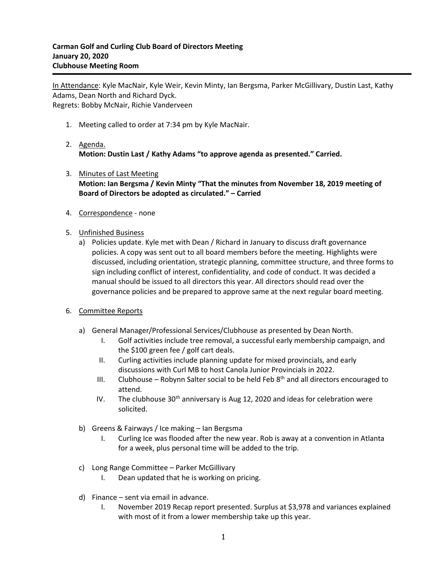In Attendance: Kyle MacNair, Kyle Weir, Kevin Minty, Ian Bergsma, Parker McGillivary, Dustin Last, Kathy Adams, Dean North and Richard Dyck. Regrets: Bobby McNair, Richie Vanderveen

- 1. Meeting called to order at 7:34 pm by Kyle MacNair.
- 2. Agenda. **Motion: Dustin Last / Kathy Adams "to approve agenda as presented." Carried.**
- 3. Minutes of Last Meeting **Motion: Ian Bergsma / Kevin Minty "That the minutes from November 18, 2019 meeting of Board of Directors be adopted as circulated." – Carried**
- 4. Correspondence none
- 5. Unfinished Business
	- a) Policies update. Kyle met with Dean / Richard in January to discuss draft governance policies. A copy was sent out to all board members before the meeting. Highlights were discussed, including orientation, strategic planning, committee structure, and three forms to sign including conflict of interest, confidentiality, and code of conduct. It was decided a manual should be issued to all directors this year. All directors should read over the governance policies and be prepared to approve same at the next regular board meeting.
- 6. Committee Reports
	- a) General Manager/Professional Services/Clubhouse as presented by Dean North.
		- I. Golf activities include tree removal, a successful early membership campaign, and the \$100 green fee / golf cart deals.
		- II. Curling activities include planning update for mixed provincials, and early discussions with Curl MB to host Canola Junior Provincials in 2022.
		- III. Clubhouse Robynn Salter social to be held Feb  $8<sup>th</sup>$  and all directors encouraged to attend.
		- IV. The clubhouse  $30<sup>th</sup>$  anniversary is Aug 12, 2020 and ideas for celebration were solicited.
	- b) Greens & Fairways / Ice making Ian Bergsma
		- I. Curling Ice was flooded after the new year. Rob is away at a convention in Atlanta for a week, plus personal time will be added to the trip.
	- c) Long Range Committee Parker McGillivary
		- I. Dean updated that he is working on pricing.
	- d) Finance sent via email in advance.
		- I. November 2019 Recap report presented. Surplus at \$3,978 and variances explained with most of it from a lower membership take up this year.